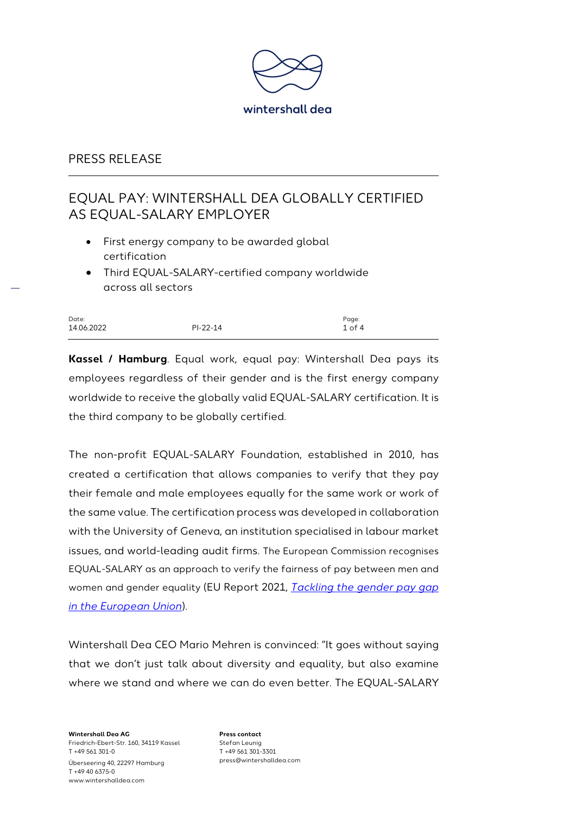

# EQUAL PAY: WINTERSHALL DEA GLOBALLY CERTIFIED AS EQUAL-SALARY EMPLOYER

- First energy company to be awarded global certification
- Third EQUAL-SALARY-certified company worldwide across all sectors

| Date:      |            | Page:      |
|------------|------------|------------|
| 14.06.2022 | $PI-22-14$ | $1$ of $4$ |

**Kassel / Hamburg**. Equal work, equal pay: Wintershall Dea pays its employees regardless of their gender and is the first energy company worldwide to receive the globally valid EQUAL-SALARY certification. It is the third company to be globally certified.

The non-profit EQUAL-SALARY Foundation, established in 2010, has created a certification that allows companies to verify that they pay their female and male employees equally for the same work or work of the same value. The certification process was developed in collaboration with the University of Geneva, an institution specialised in labour market issues, and world-leading audit firms. The European Commission recognises EQUAL-SALARY as an approach to verify the fairness of pay between men and women and gender equality (EU Report 2021, *[Tackling the gender pay gap](https://www.equalsalary.org/wp-content/uploads/2018/10/Tackling_Gender_Pay_Gap_European_Union_Report2014_ES_P21.pdf)  [in the European Union](https://www.equalsalary.org/wp-content/uploads/2018/10/Tackling_Gender_Pay_Gap_European_Union_Report2014_ES_P21.pdf)*).

Wintershall Dea CEO Mario Mehren is convinced: "It goes without saying that we don't just talk about diversity and equality, but also examine where we stand and where we can do even better. The EQUAL-SALARY

**Wintershall Dea AG** Friedrich-Ebert-Str. 160, 34119 Kassel T +49 561 301-0 Überseering 40, 22297 Hamburg T +49 40 6375-0 www.wintershalldea.com

**Press contact** Stefan Leunig T +49 561 301-3301 press@wintershalldea.com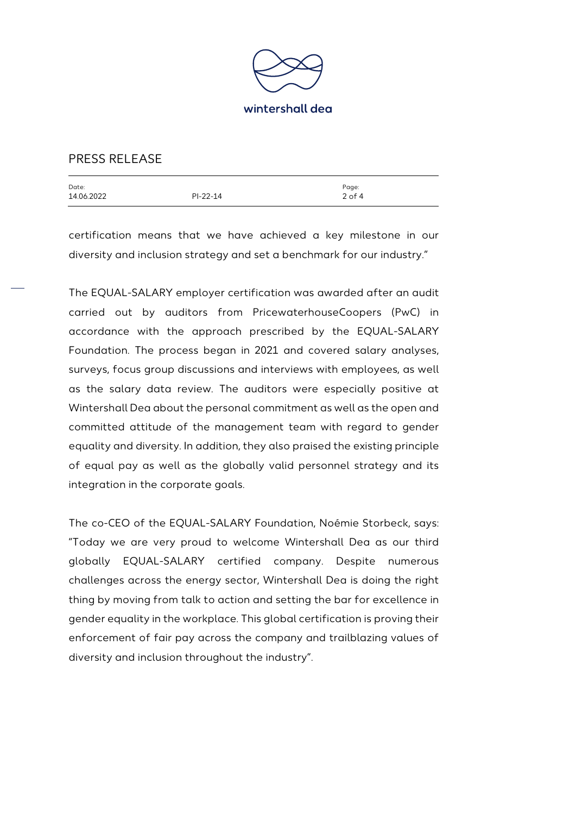

| Date:      |            | Page:      |
|------------|------------|------------|
| 14.06.2022 | $PI-22-14$ | $2$ of $4$ |
|            |            |            |

certification means that we have achieved a key milestone in our diversity and inclusion strategy and set a benchmark for our industry."

The EQUAL-SALARY employer certification was awarded after an audit carried out by auditors from PricewaterhouseCoopers (PwC) in accordance with the approach prescribed by the EQUAL-SALARY Foundation. The process began in 2021 and covered salary analyses, surveys, focus group discussions and interviews with employees, as well as the salary data review. The auditors were especially positive at Wintershall Dea about the personal commitment as well as the open and committed attitude of the management team with regard to gender equality and diversity. In addition, they also praised the existing principle of equal pay as well as the globally valid personnel strategy and its integration in the corporate goals.

The co-CEO of the EQUAL-SALARY Foundation, Noémie Storbeck, says: "Today we are very proud to welcome Wintershall Dea as our third globally EQUAL-SALARY certified company. Despite numerous challenges across the energy sector, Wintershall Dea is doing the right thing by moving from talk to action and setting the bar for excellence in gender equality in the workplace. This global certification is proving their enforcement of fair pay across the company and trailblazing values of diversity and inclusion throughout the industry".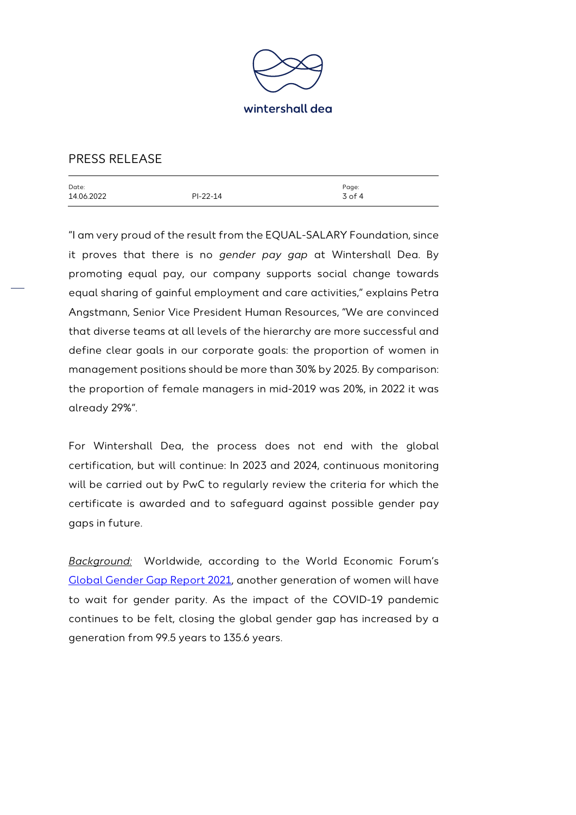

| Date:<br>14.06.2022 | $PI-22-14$ | Page:<br>$3$ of 4 |
|---------------------|------------|-------------------|
|                     |            |                   |

"I am very proud of the result from the EQUAL-SALARY Foundation, since it proves that there is no *gender pay gap* at Wintershall Dea. By promoting equal pay, our company supports social change towards equal sharing of gainful employment and care activities," explains Petra Angstmann, Senior Vice President Human Resources, "We are convinced that diverse teams at all levels of the hierarchy are more successful and define clear goals in our corporate goals: the proportion of women in management positions should be more than 30% by 2025. By comparison: the proportion of female managers in mid-2019 was 20%, in 2022 it was already 29%".

For Wintershall Dea, the process does not end with the global certification, but will continue: In 2023 and 2024, continuous monitoring will be carried out by PwC to regularly review the criteria for which the certificate is awarded and to safeguard against possible gender pay gaps in future.

*Background:* Worldwide, according to the World Economic Forum's [Global Gender Gap Report 2021,](https://www.weforum.org/reports/ab6795a1-960c-42b2-b3d5-587eccda6023/digest) another generation of women will have to wait for gender parity. As the impact of the COVID-19 pandemic continues to be felt, closing the global gender gap has increased by a generation from 99.5 years to 135.6 years.